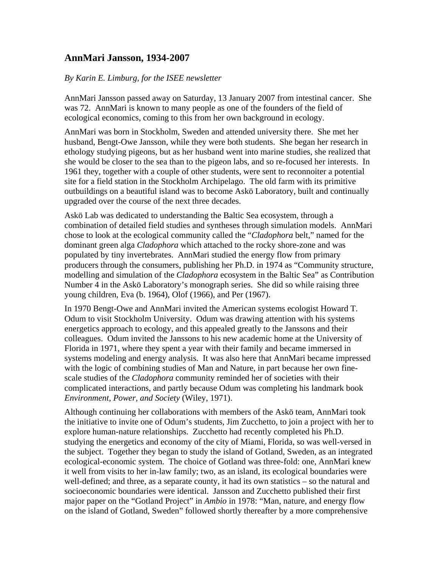## **AnnMari Jansson, 1934-2007**

## *By Karin E. Limburg, for the ISEE newsletter*

AnnMari Jansson passed away on Saturday, 13 January 2007 from intestinal cancer. She was 72. AnnMari is known to many people as one of the founders of the field of ecological economics, coming to this from her own background in ecology.

AnnMari was born in Stockholm, Sweden and attended university there. She met her husband, Bengt-Owe Jansson, while they were both students. She began her research in ethology studying pigeons, but as her husband went into marine studies, she realized that she would be closer to the sea than to the pigeon labs, and so re-focused her interests. In 1961 they, together with a couple of other students, were sent to reconnoiter a potential site for a field station in the Stockholm Archipelago. The old farm with its primitive outbuildings on a beautiful island was to become Askö Laboratory, built and continually upgraded over the course of the next three decades.

Askö Lab was dedicated to understanding the Baltic Sea ecosystem, through a combination of detailed field studies and syntheses through simulation models. AnnMari chose to look at the ecological community called the "*Cladophora* belt," named for the dominant green alga *Cladophora* which attached to the rocky shore-zone and was populated by tiny invertebrates. AnnMari studied the energy flow from primary producers through the consumers, publishing her Ph.D. in 1974 as "Community structure, modelling and simulation of the *Cladophora* ecosystem in the Baltic Sea" as Contribution Number 4 in the Askö Laboratory's monograph series. She did so while raising three young children, Eva (b. 1964), Olof (1966), and Per (1967).

In 1970 Bengt-Owe and AnnMari invited the American systems ecologist Howard T. Odum to visit Stockholm University. Odum was drawing attention with his systems energetics approach to ecology, and this appealed greatly to the Janssons and their colleagues. Odum invited the Janssons to his new academic home at the University of Florida in 1971, where they spent a year with their family and became immersed in systems modeling and energy analysis. It was also here that AnnMari became impressed with the logic of combining studies of Man and Nature, in part because her own finescale studies of the *Cladophora* community reminded her of societies with their complicated interactions, and partly because Odum was completing his landmark book *Environment, Power, and Society* (Wiley, 1971).

Although continuing her collaborations with members of the Askö team, AnnMari took the initiative to invite one of Odum's students, Jim Zucchetto, to join a project with her to explore human-nature relationships. Zucchetto had recently completed his Ph.D. studying the energetics and economy of the city of Miami, Florida, so was well-versed in the subject. Together they began to study the island of Gotland, Sweden, as an integrated ecological-economic system. The choice of Gotland was three-fold: one, AnnMari knew it well from visits to her in-law family; two, as an island, its ecological boundaries were well-defined; and three, as a separate county, it had its own statistics – so the natural and socioeconomic boundaries were identical. Jansson and Zucchetto published their first major paper on the "Gotland Project" in *Ambio* in 1978: "Man, nature, and energy flow on the island of Gotland, Sweden" followed shortly thereafter by a more comprehensive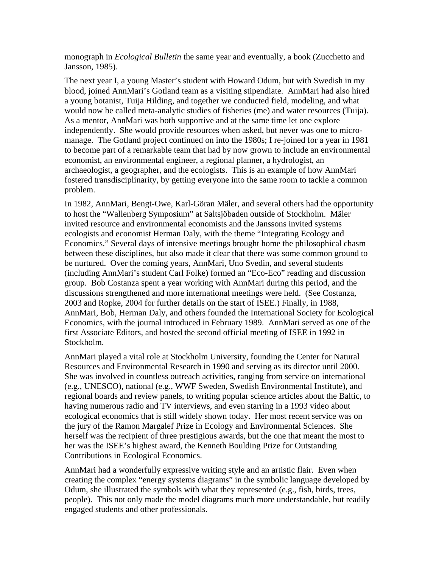monograph in *Ecological Bulletin* the same year and eventually, a book (Zucchetto and Jansson, 1985).

The next year I, a young Master's student with Howard Odum, but with Swedish in my blood, joined AnnMari's Gotland team as a visiting stipendiate. AnnMari had also hired a young botanist, Tuija Hilding, and together we conducted field, modeling, and what would now be called meta-analytic studies of fisheries (me) and water resources (Tuija). As a mentor, AnnMari was both supportive and at the same time let one explore independently. She would provide resources when asked, but never was one to micromanage. The Gotland project continued on into the 1980s; I re-joined for a year in 1981 to become part of a remarkable team that had by now grown to include an environmental economist, an environmental engineer, a regional planner, a hydrologist, an archaeologist, a geographer, and the ecologists. This is an example of how AnnMari fostered transdisciplinarity, by getting everyone into the same room to tackle a common problem.

In 1982, AnnMari, Bengt-Owe, Karl-Göran Mäler, and several others had the opportunity to host the "Wallenberg Symposium" at Saltsjöbaden outside of Stockholm. Mäler invited resource and environmental economists and the Janssons invited systems ecologists and economist Herman Daly, with the theme "Integrating Ecology and Economics." Several days of intensive meetings brought home the philosophical chasm between these disciplines, but also made it clear that there was some common ground to be nurtured. Over the coming years, AnnMari, Uno Svedin, and several students (including AnnMari's student Carl Folke) formed an "Eco-Eco" reading and discussion group. Bob Costanza spent a year working with AnnMari during this period, and the discussions strengthened and more international meetings were held. (See Costanza, 2003 and Ropke, 2004 for further details on the start of ISEE.) Finally, in 1988, AnnMari, Bob, Herman Daly, and others founded the International Society for Ecological Economics, with the journal introduced in February 1989. AnnMari served as one of the first Associate Editors, and hosted the second official meeting of ISEE in 1992 in Stockholm.

AnnMari played a vital role at Stockholm University, founding the Center for Natural Resources and Environmental Research in 1990 and serving as its director until 2000. She was involved in countless outreach activities, ranging from service on international (e.g., UNESCO), national (e.g., WWF Sweden, Swedish Environmental Institute), and regional boards and review panels, to writing popular science articles about the Baltic, to having numerous radio and TV interviews, and even starring in a 1993 video about ecological economics that is still widely shown today. Her most recent service was on the jury of the Ramon Margalef Prize in Ecology and Environmental Sciences. She herself was the recipient of three prestigious awards, but the one that meant the most to her was the ISEE's highest award, the Kenneth Boulding Prize for Outstanding Contributions in Ecological Economics.

AnnMari had a wonderfully expressive writing style and an artistic flair. Even when creating the complex "energy systems diagrams" in the symbolic language developed by Odum, she illustrated the symbols with what they represented (e.g., fish, birds, trees, people). This not only made the model diagrams much more understandable, but readily engaged students and other professionals.